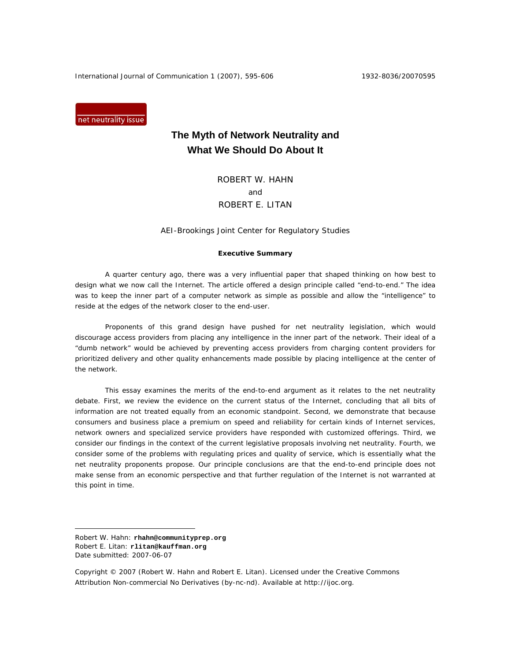International Journal of Communication 1 (2007), 595-606 1932-8036/20070595

net neutrality issue

# **The Myth of Network Neutrality and What We Should Do About It**

ROBERT W. HAHN and ROBERT E. LITAN

AEI-Brookings Joint Center for Regulatory Studies

## **Executive Summary**

A quarter century ago, there was a very influential paper that shaped thinking on how best to design what we now call the Internet. The article offered a design principle called "end-to-end." The idea was to keep the inner part of a computer network as simple as possible and allow the "intelligence" to reside at the edges of the network closer to the end-user.

Proponents of this grand design have pushed for net neutrality legislation, which would discourage access providers from placing any intelligence in the inner part of the network. Their ideal of a "dumb network" would be achieved by preventing access providers from charging content providers for prioritized delivery and other quality enhancements made possible by placing intelligence at the center of the network.

This essay examines the merits of the end-to-end argument as it relates to the net neutrality debate. First, we review the evidence on the current status of the Internet, concluding that all bits of information are not treated equally from an economic standpoint. Second, we demonstrate that because consumers and business place a premium on speed and reliability for certain kinds of Internet services, network owners and specialized service providers have responded with customized offerings. Third, we consider our findings in the context of the current legislative proposals involving net neutrality. Fourth, we consider some of the problems with regulating prices and quality of service, which is essentially what the net neutrality proponents propose. Our principle conclusions are that the end-to-end principle does not make sense from an economic perspective and that further regulation of the Internet is not warranted at this point in time.

 $\overline{a}$ 

Robert W. Hahn: **rhahn@communityprep.org** Robert E. Litan: **rlitan@kauffman.org**  Date submitted: 2007-06-07

Copyright © 2007 (Robert W. Hahn and Robert E. Litan). Licensed under the Creative Commons Attribution Non-commercial No Derivatives (by-nc-nd). Available at http://ijoc.org.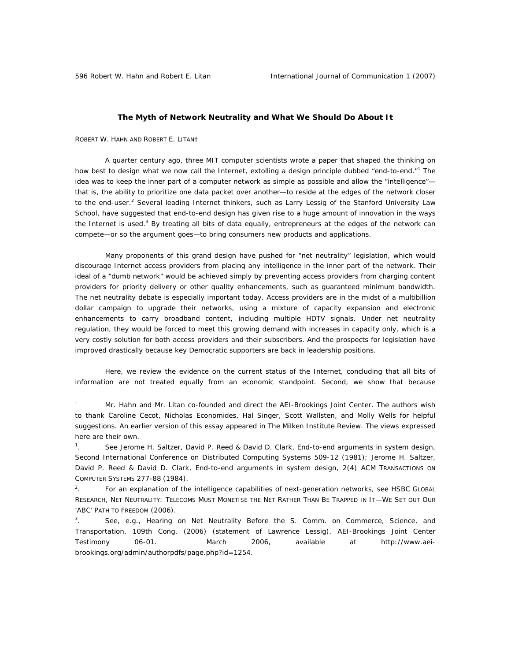## **The Myth of Network Neutrality and What We Should Do About It**

ROBERT W. HAHN AND ROBERT E. LITAN†

 $\overline{a}$ 

A quarter century ago, three MIT computer scientists wrote a paper that shaped the thinking on how best to design what we now call the Internet, extolling a design principle dubbed "end-to-end."<sup>1</sup> The idea was to keep the inner part of a computer network as simple as possible and allow the "intelligence"that is, the ability to prioritize one data packet over another—to reside at the edges of the network closer to the end-user.<sup>2</sup> Several leading Internet thinkers, such as Larry Lessig of the Stanford University Law School, have suggested that end-to-end design has given rise to a huge amount of innovation in the ways the Internet is used.<sup>3</sup> By treating all bits of data equally, entrepreneurs at the edges of the network can compete—or so the argument goes—to bring consumers new products and applications.

Many proponents of this grand design have pushed for "net neutrality" legislation, which would discourage Internet access providers from placing any intelligence in the inner part of the network. Their ideal of a "dumb network" would be achieved simply by preventing access providers from charging content providers for priority delivery or other quality enhancements, such as guaranteed minimum bandwidth. The net neutrality debate is especially important today. Access providers are in the midst of a multibillion dollar campaign to upgrade their networks, using a mixture of capacity expansion and electronic enhancements to carry broadband content, including multiple HDTV signals. Under net neutrality regulation, they would be forced to meet this growing demand with increases in capacity only, which is a very costly solution for both access providers and their subscribers. And the prospects for legislation have improved drastically because key Democratic supporters are back in leadership positions.

Here, we review the evidence on the current status of the Internet, concluding that all bits of information are not treated equally from an economic standpoint. Second, we show that because

<sup>†</sup> Mr. Hahn and Mr. Litan co-founded and direct the AEI-Brookings Joint Center. The authors wish to thank Caroline Cecot, Nicholas Economides, Hal Singer, Scott Wallsten, and Molly Wells for helpful suggestions. An earlier version of this essay appeared in *The Milken Institute Review*. The views expressed here are their own.

 $\frac{1}{1}$ . *See* Jerome H. Saltzer, David P. Reed & David D. Clark, *End-to-end arguments in system design*, Second International Conference on Distributed Computing Systems 509-12 (1981); Jerome H. Saltzer, David P. Reed & David D. Clark, *End-to-end arguments in system design*, 2(4) ACM TRANSACTIONS ON COMPUTER SYSTEMS 277-88 (1984).

<sup>2</sup> . For an explanation of the intelligence capabilities of next-generation networks, see HSBC GLOBAL RESEARCH, NET NEUTRALITY: TELECOMS MUST MONETISE THE NET RATHER THAN BE TRAPPED IN IT—WE SET OUT OUR 'ABC' PATH TO FREEDOM (2006).

<sup>3</sup> . *See*, *e.g*., *Hearing on Net Neutrality Before the S. Comm. on Commerce, Science, and Transportation*, 109th Cong. (2006) (statement of Lawrence Lessig). AEI-Brookings Joint Center Testimony 06-01. March 2006, *available at* http://www.aeibrookings.org/admin/authorpdfs/page.php?id=1254.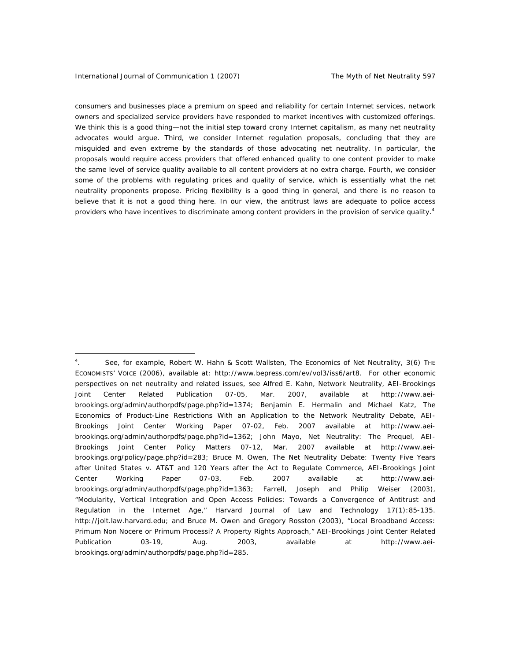consumers and businesses place a premium on speed and reliability for certain Internet services, network owners and specialized service providers have responded to market incentives with customized offerings. We think this is a good thing—not the initial step toward crony Internet capitalism, as many net neutrality advocates would argue. Third, we consider Internet regulation proposals, concluding that they are misguided and even extreme by the standards of those advocating net neutrality. In particular, the proposals would require access providers that offered enhanced quality to one content provider to make the same level of service quality available to all content providers at no extra charge. Fourth, we consider some of the problems with regulating prices and quality of service, which is essentially what the net neutrality proponents propose. Pricing flexibility is a good thing in general, and there is no reason to believe that it is not a good thing here. In our view, the antitrust laws are adequate to police access providers who have incentives to discriminate among content providers in the provision of service quality.<sup>4</sup>

<sup>4</sup> . *See,* for example, Robert W. Hahn & Scott Wallsten, *The Economics of Net Neutrality*, 3(6) THE ECONOMISTS' VOICE (2006), *available at*: http://www.bepress.com/ev/vol3/iss6/art8. For other economic perspectives on net neutrality and related issues, see Alfred E. Kahn, *Network Neutrality*, AEI-Brookings Joint Center Related Publication 07-05, Mar. 2007, *available at* http://www.aeibrookings.org/admin/authorpdfs/page.php?id=1374; Benjamin E. Hermalin and Michael Katz, *The Economics of Product-Line Restrictions With an Application to the Network Neutrality Debate*, AEI-Brookings Joint Center Working Paper 07-02, Feb. 2007 *available at* http://www.aeibrookings.org/admin/authorpdfs/page.php?id=1362; John Mayo, *Net Neutrality: The Prequel*, AEI-Brookings Joint Center Policy Matters 07-12, Mar. 2007 *available at* http://www.aeibrookings.org/policy/page.php?id=283; Bruce M. Owen, *The Net Neutrality Debate: Twenty Five Years after United States v. AT&T and 120 Years after the Act to Regulate Commerce*, AEI-Brookings Joint Center Working Paper 07-03, Feb. 2007 *available at* http://www.aeibrookings.org/admin/authorpdfs/page.php?id=1363; Farrell, Joseph and Philip Weiser (2003), "Modularity, Vertical Integration and Open Access Policies: Towards a Convergence of Antitrust and Regulation in the Internet Age," *Harvard Journal of Law and Technology* 17(1):85-135. http://jolt.law.harvard.edu; and Bruce M. Owen and Gregory Rosston (2003), "Local Broadband Access: Primum Non Nocere or Primum Processi? A Property Rights Approach," AEI-Brookings Joint Center Related Publication 03-19, Aug. 2003, *available at* http://www.aeibrookings.org/admin/authorpdfs/page.php?id=285.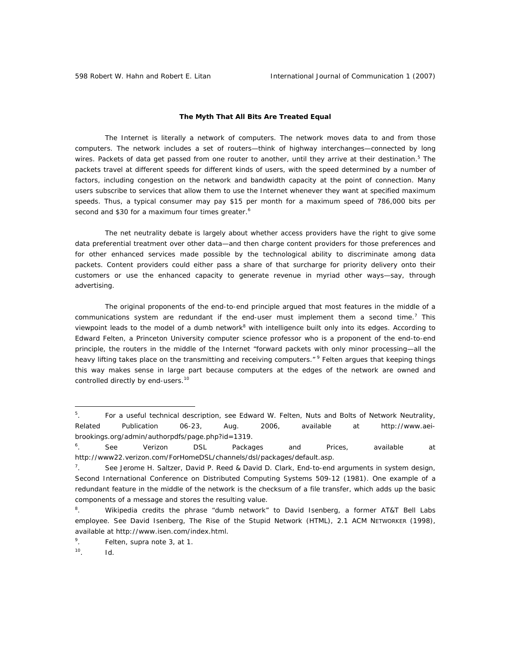# **The Myth That All Bits Are Treated Equal**

The Internet is literally a network of computers. The network moves data to and from those computers. The network includes a set of routers—think of highway interchanges—connected by long wires. Packets of data get passed from one router to another, until they arrive at their destination.<sup>5</sup> The packets travel at different speeds for different kinds of users, with the speed determined by a number of factors, including congestion on the network and bandwidth capacity at the point of connection. Many users subscribe to services that allow them to use the Internet whenever they want at specified maximum speeds. Thus, a typical consumer may pay \$15 per month for a maximum speed of 786,000 bits per second and \$30 for a maximum four times greater.<sup>6</sup>

The net neutrality debate is largely about whether access providers have the right to give some data preferential treatment over other data—and then charge content providers for those preferences and for other enhanced services made possible by the technological ability to discriminate among data packets. Content providers could either pass a share of that surcharge for priority delivery onto their customers or use the enhanced capacity to generate revenue in myriad other ways—say, through advertising.

The original proponents of the end-to-end principle argued that most features in the middle of a communications system are redundant if the end-user must implement them a second time.<sup>7</sup> This viewpoint leads to the model of a dumb network<sup>8</sup> with intelligence built only into its edges. According to Edward Felten, a Princeton University computer science professor who is a proponent of the end-to-end principle, the routers in the middle of the Internet "forward packets with only minor processing—all the heavy lifting takes place on the transmitting and receiving computers." <sup>9</sup> Felten argues that keeping things this way makes sense in large part because computers at the edges of the network are owned and controlled directly by end-users.<sup>10</sup>

 $\overline{a}$ 

<sup>5</sup> . For a useful technical description, see Edward W. Felten, *Nuts and Bolts of Network Neutrality*, Related Publication 06-23, Aug. 2006, *available at* http://www.aeibrookings.org/admin/authorpdfs/page.php?id=1319.

<sup>6</sup> . *See* Verizon DSL Packages and Prices, *available at* http://www22.verizon.com/ForHomeDSL/channels/dsl/packages/default.asp.

<sup>7</sup> . *See* Jerome H. Saltzer, David P. Reed & David D. Clark, *End-to-end arguments in system design*, Second International Conference on Distributed Computing Systems 509-12 (1981). One example of a redundant feature in the middle of the network is the checksum of a file transfer, which adds up the basic components of a message and stores the resulting value.

<sup>8</sup> . Wikipedia credits the phrase "dumb network" to David Isenberg, a former AT&T Bell Labs employee. *See* David Isenberg, The Rise of the Stupid Network (HTML), 2.1 ACM NETWORKER (1998), *available at* http://www.isen.com/index.html.

<sup>9</sup> . Felten, *supra* note 3, at 1.

<sup>10.</sup> *Id*.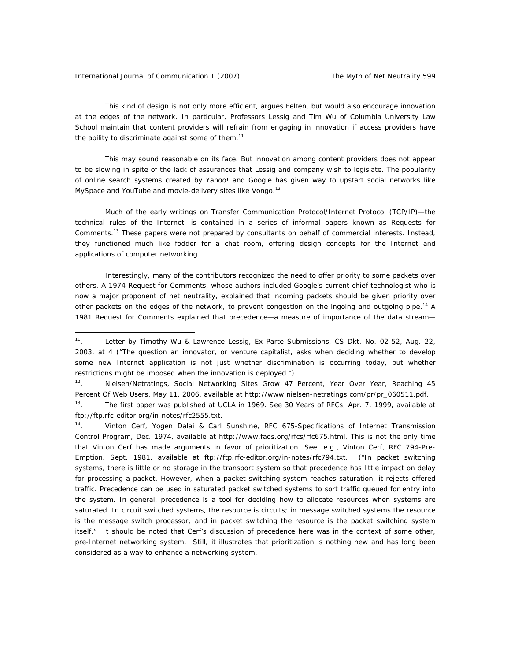This kind of design is not only more efficient, argues Felten, but would also encourage innovation at the edges of the network. In particular, Professors Lessig and Tim Wu of Columbia University Law School maintain that content providers will refrain from engaging in innovation if access providers have the ability to discriminate against some of them. $11$ 

This may sound reasonable on its face. But innovation among content providers does not appear to be slowing in spite of the lack of assurances that Lessig and company wish to legislate. The popularity of online search systems created by Yahoo! and Google has given way to upstart social networks like MySpace and YouTube and movie-delivery sites like Vongo.<sup>12</sup>

Much of the early writings on Transfer Communication Protocol/Internet Protocol (TCP/IP)—the technical rules of the Internet—is contained in a series of informal papers known as Requests for Comments.13 These papers were not prepared by consultants on behalf of commercial interests. Instead, they functioned much like fodder for a chat room, offering design concepts for the Internet and applications of computer networking.

Interestingly, many of the contributors recognized the need to offer priority to some packets over others. A 1974 Request for Comments, whose authors included Google's current chief technologist who is now a major proponent of net neutrality, explained that incoming packets should be given priority over other packets on the edges of the network, to prevent congestion on the ingoing and outgoing pipe.<sup>14</sup> A 1981 Request for Comments explained that precedence—a measure of importance of the data stream—

<sup>11.</sup> Letter by Timothy Wu & Lawrence Lessig, Ex Parte Submissions, CS Dkt. No. 02-52, Aug. 22, 2003, at 4 ("The question an innovator, or venture capitalist, asks when deciding whether to develop some new Internet application is not just whether discrimination is occurring today, but whether restrictions might be imposed when the innovation is deployed.").

<sup>&</sup>lt;sup>12</sup>. Nielsen/Netratings, Social Networking Sites Grow 47 Percent, Year Over Year, Reaching 45 Percent Of Web Users, May 11, 2006, *available at* http://www.nielsen-netratings.com/pr/pr\_060511.pdf.

<sup>13.</sup> The first paper was published at UCLA in 1969. *See* 30 Years of RFCs, Apr. 7, 1999, *available at* ftp://ftp.rfc-editor.org/in-notes/rfc2555.txt.

<sup>14.</sup> Vinton Cerf, Yogen Dalai & Carl Sunshine, RFC 675-Specifications of Internet Transmission Control Program*,* Dec. 1974, *available at* http://www.faqs.org/rfcs/rfc675.html. This is not the only time that Vinton Cerf has made arguments in favor of prioritization. *See*, *e.g*., Vinton Cerf, RFC 794-Pre-Emption. Sept. 1981, *available at* ftp://ftp.rfc-editor.org/in-notes/rfc794.txt. ("In packet switching systems, there is little or no storage in the transport system so that precedence has little impact on delay for processing a packet. However, when a packet switching system reaches saturation, it rejects offered traffic. Precedence can be used in saturated packet switched systems to sort traffic queued for entry into the system. In general, precedence is a tool for deciding how to allocate resources when systems are saturated. In circuit switched systems, the resource is circuits; in message switched systems the resource is the message switch processor; and in packet switching the resource is the packet switching system itself." It should be noted that Cerf's discussion of precedence here was in the context of some other, pre-Internet networking system. Still, it illustrates that prioritization is nothing new and has long been considered as a way to enhance a networking system.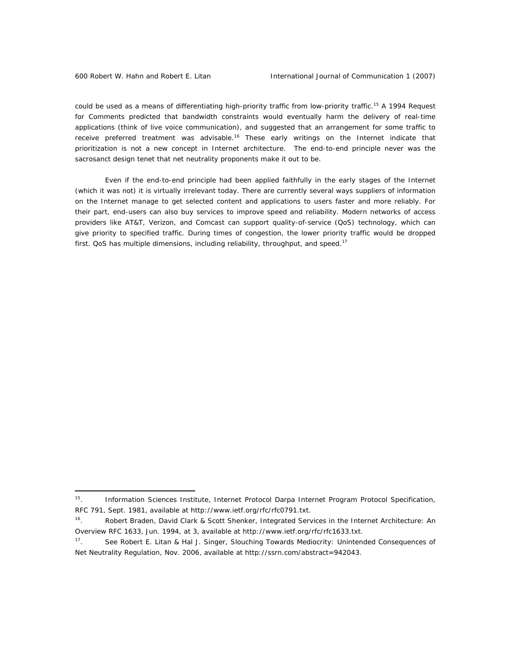could be used as a means of differentiating high-priority traffic from low-priority traffic.<sup>15</sup> A 1994 Request for Comments predicted that bandwidth constraints would eventually harm the delivery of real-time applications (think of live voice communication), and suggested that an arrangement for some traffic to receive preferred treatment was advisable.<sup>16</sup> These early writings on the Internet indicate that prioritization is not a new concept in Internet architecture. The end-to-end principle never was the sacrosanct design tenet that net neutrality proponents make it out to be.

Even if the end-to-end principle had been applied faithfully in the early stages of the Internet (which it was not) it is virtually irrelevant today. There are currently several ways suppliers of information on the Internet manage to get selected content and applications to users faster and more reliably. For their part, end-users can also buy services to improve speed and reliability. Modern networks of access providers like AT&T, Verizon, and Comcast can support quality-of-service (QoS) technology, which can give priority to specified traffic. During times of congestion, the lower priority traffic would be dropped first. QoS has multiple dimensions, including reliability, throughput, and speed.<sup>17</sup>

<sup>15.</sup> Information Sciences Institute, Internet Protocol Darpa Internet Program Protocol Specification*,*  RFC 791, Sept. 1981, *available at* http://www.ietf.org/rfc/rfc0791.txt.

<sup>16.</sup> Robert Braden, David Clark & Scott Shenker, Integrated Services in the Internet Architecture: An Overview RFC 1633, Jun. 1994, at 3, *available at* http://www.ietf.org/rfc/rfc1633.txt.

<sup>17.</sup> See Robert E. Litan & Hal J. Singer, *Slouching Towards Mediocrity: Unintended Consequences of Net Neutrality Regulation*, Nov. 2006, *available at* http://ssrn.com/abstract=942043.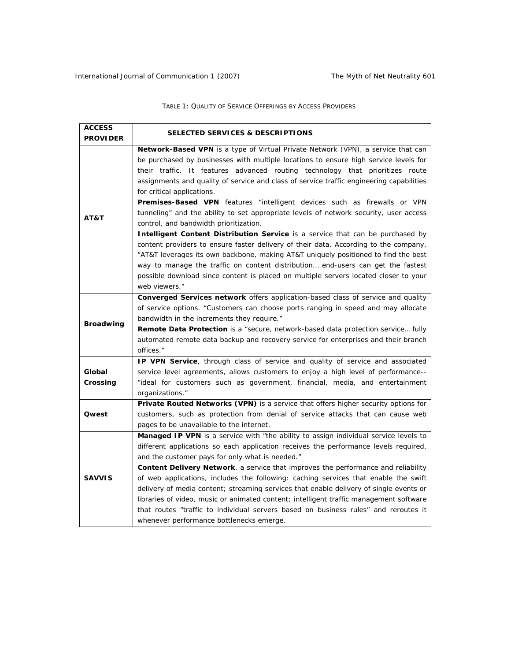TABLE 1: QUALITY OF SERVICE OFFERINGS BY ACCESS PROVIDERS

| <b>ACCESS</b>      |                                                                                                                                                                                                                                                                                                                                                                                                                                                                                                                                                                                                                                                                                                                                                                                                                                                                                                                                                                                                                                                                        |
|--------------------|------------------------------------------------------------------------------------------------------------------------------------------------------------------------------------------------------------------------------------------------------------------------------------------------------------------------------------------------------------------------------------------------------------------------------------------------------------------------------------------------------------------------------------------------------------------------------------------------------------------------------------------------------------------------------------------------------------------------------------------------------------------------------------------------------------------------------------------------------------------------------------------------------------------------------------------------------------------------------------------------------------------------------------------------------------------------|
| <b>PROVIDER</b>    | <b>SELECTED SERVICES &amp; DESCRIPTIONS</b>                                                                                                                                                                                                                                                                                                                                                                                                                                                                                                                                                                                                                                                                                                                                                                                                                                                                                                                                                                                                                            |
| AT&T               | Network-Based VPN is a type of Virtual Private Network (VPN), a service that can<br>be purchased by businesses with multiple locations to ensure high service levels for<br>their traffic. It features advanced routing technology that prioritizes route<br>assignments and quality of service and class of service traffic engineering capabilities<br>for critical applications.<br><b>Premises-Based VPN</b> features "intelligent devices such as firewalls or VPN<br>tunneling" and the ability to set appropriate levels of network security, user access<br>control, and bandwidth prioritization.<br>Intelligent Content Distribution Service is a service that can be purchased by<br>content providers to ensure faster delivery of their data. According to the company,<br>"AT&T leverages its own backbone, making AT&T uniquely positioned to find the best<br>way to manage the traffic on content distribution end-users can get the fastest<br>possible download since content is placed on multiple servers located closer to your<br>web viewers." |
| <b>Broadwing</b>   | Converged Services network offers application-based class of service and quality<br>of service options. "Customers can choose ports ranging in speed and may allocate<br>bandwidth in the increments they require."<br><b>Remote Data Protection</b> is a "secure, network-based data protection service fully<br>automated remote data backup and recovery service for enterprises and their branch<br>offices."                                                                                                                                                                                                                                                                                                                                                                                                                                                                                                                                                                                                                                                      |
| Global<br>Crossing | IP VPN Service, through class of service and quality of service and associated<br>service level agreements, allows customers to enjoy a high level of performance--<br>"ideal for customers such as government, financial, media, and entertainment<br>organizations."                                                                                                                                                                                                                                                                                                                                                                                                                                                                                                                                                                                                                                                                                                                                                                                                 |
| <b>Qwest</b>       | Private Routed Networks (VPN) is a service that offers higher security options for<br>customers, such as protection from denial of service attacks that can cause web<br>pages to be unavailable to the internet.                                                                                                                                                                                                                                                                                                                                                                                                                                                                                                                                                                                                                                                                                                                                                                                                                                                      |
| <b>SAVVIS</b>      | Managed IP VPN is a service with "the ability to assign individual service levels to<br>different applications so each application receives the performance levels required,<br>and the customer pays for only what is needed."<br>Content Delivery Network, a service that improves the performance and reliability<br>of web applications, includes the following: caching services that enable the swift<br>delivery of media content; streaming services that enable delivery of single events or<br>libraries of video, music or animated content; intelligent traffic management software<br>that routes "traffic to individual servers based on business rules" and reroutes it<br>whenever performance bottlenecks emerge.                                                                                                                                                                                                                                                                                                                                     |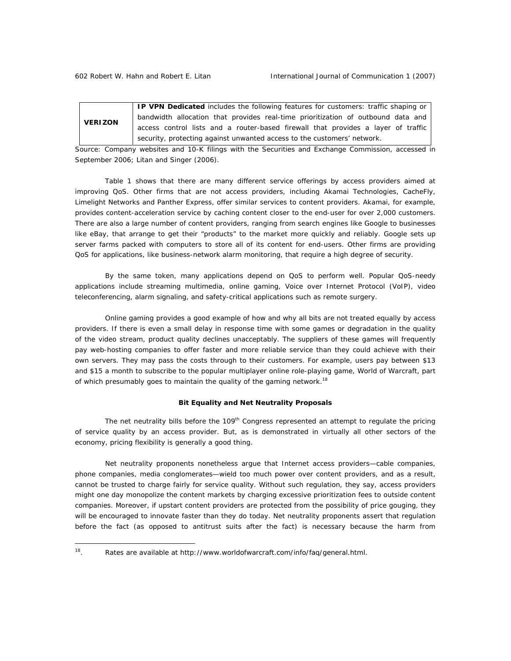**VERIZON IP VPN Dedicated** includes the following features for customers: traffic shaping or bandwidth allocation that provides real-time prioritization of outbound data and access control lists and a router-based firewall that provides a layer of traffic security, protecting against unwanted access to the customers' network.

*Source*: Company websites and 10-K filings with the Securities and Exchange Commission, accessed in September 2006; Litan and Singer (2006).

Table 1 shows that there are many different service offerings by access providers aimed at improving QoS. Other firms that are not access providers, including Akamai Technologies, CacheFly, Limelight Networks and Panther Express, offer similar services to content providers. Akamai, for example, provides content-acceleration service by caching content closer to the end-user for over 2,000 customers. There are also a large number of content providers, ranging from search engines like Google to businesses like eBay, that arrange to get their "products" to the market more quickly and reliably. Google sets up server farms packed with computers to store all of its content for end-users. Other firms are providing QoS for applications, like business-network alarm monitoring, that require a high degree of security.

By the same token, many applications depend on QoS to perform well. Popular QoS-needy applications include streaming multimedia, online gaming, Voice over Internet Protocol (VoIP), video teleconferencing, alarm signaling, and safety-critical applications such as remote surgery.

Online gaming provides a good example of how and why all bits are not treated equally by access providers. If there is even a small delay in response time with some games or degradation in the quality of the video stream, product quality declines unacceptably. The suppliers of these games will frequently pay web-hosting companies to offer faster and more reliable service than they could achieve with their own servers. They may pass the costs through to their customers. For example, users pay between \$13 and \$15 a month to subscribe to the popular multiplayer online role-playing game, World of Warcraft, part of which presumably goes to maintain the quality of the gaming network.<sup>18</sup>

## **Bit Equality and Net Neutrality Proposals**

The net neutrality bills before the 109<sup>th</sup> Congress represented an attempt to regulate the *pricing* of service quality by an access provider. But, as is demonstrated in virtually all other sectors of the economy, pricing flexibility is generally a good thing.

Net neutrality proponents nonetheless argue that Internet access providers—cable companies, phone companies, media conglomerates—wield too much power over content providers, and as a result, cannot be trusted to charge fairly for service quality. Without such regulation, they say, access providers might one day monopolize the content markets by charging excessive prioritization fees to outside content companies. Moreover, if upstart content providers are protected from the possibility of price gouging, they will be encouraged to innovate faster than they do today. Net neutrality proponents assert that regulation before the fact (as opposed to antitrust suits after the fact) is necessary because the harm from

 $18 \overline{)}$ 18. Rates are *available at* http://www.worldofwarcraft.com/info/faq/general.html.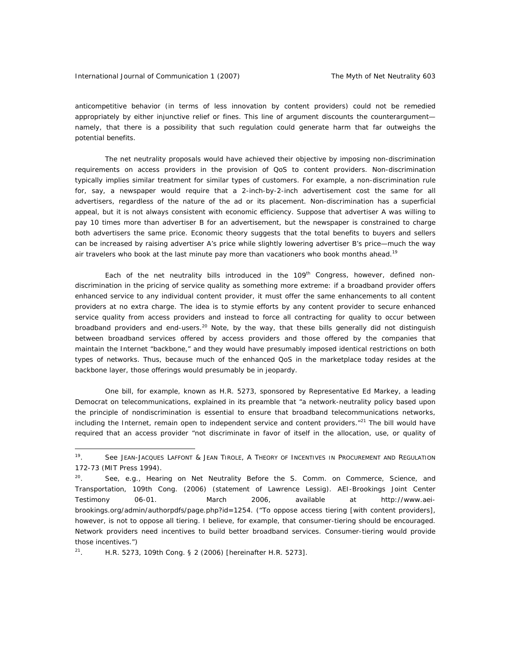anticompetitive behavior (in terms of less innovation by content providers) could not be remedied appropriately by either injunctive relief or fines. This line of argument discounts the counterargument namely, that there is a possibility that such regulation could generate harm that far outweighs the potential benefits.

The net neutrality proposals would have achieved their objective by imposing non-discrimination requirements on access providers in the provision of QoS to content providers. Non-discrimination typically implies similar treatment for similar types of customers. For example, a non-discrimination rule for, say, a newspaper would require that a 2-inch-by-2-inch advertisement cost the same for all advertisers, regardless of the nature of the ad or its placement. Non-discrimination has a superficial appeal, but it is not always consistent with economic efficiency. Suppose that advertiser A was willing to pay 10 times more than advertiser B for an advertisement, but the newspaper is constrained to charge both advertisers the same price. Economic theory suggests that the total benefits to buyers and sellers can be increased by raising advertiser A's price while slightly lowering advertiser B's price—much the way air travelers who book at the last minute pay more than vacationers who book months ahead.<sup>19</sup>

Each of the net neutrality bills introduced in the 109<sup>th</sup> Congress, however, defined nondiscrimination in the pricing of service quality as something more extreme: if a broadband provider offers enhanced service to any individual content provider, it must offer the same enhancements to all content providers at no extra charge. The idea is to stymie efforts by any content provider to secure enhanced service quality from access providers and instead to force all contracting for quality to occur between broadband providers and end-users.<sup>20</sup> Note, by the way, that these bills generally did not distinguish between broadband services offered by access providers and those offered by the companies that maintain the Internet "backbone," and they would have presumably imposed identical restrictions on both types of networks. Thus, because much of the enhanced QoS in the marketplace today resides at the backbone layer, those offerings would presumably be in jeopardy.

One bill, for example, known as H.R. 5273, sponsored by Representative Ed Markey, a leading Democrat on telecommunications, explained in its preamble that "a network-neutrality policy based upon the principle of nondiscrimination is essential to ensure that broadband telecommunications networks, including the Internet, remain open to independent service and content providers. $"^{21}$  The bill would have required that an access provider "not discriminate in favor of itself in the allocation, use, or quality of

 $\overline{a}$ 

<sup>19.</sup> *See* JEAN-JACQUES LAFFONT & JEAN TIROLE, A THEORY OF INCENTIVES IN PROCUREMENT AND REGULATION 172-73 (MIT Press 1994).

<sup>20.</sup> *See*, *e.g*., *Hearing on Net Neutrality Before the S. Comm. on Commerce, Science, and Transportation*, 109th Cong. (2006) (statement of Lawrence Lessig). AEI-Brookings Joint Center Testimony 06-01. March 2006, *available at* http://www.aeibrookings.org/admin/authorpdfs/page.php?id=1254. ("To oppose access tiering [with content providers], however, is not to oppose all tiering. I believe, for example, that consumer-tiering should be encouraged. Network providers need incentives to build better broadband services. Consumer-tiering would provide those incentives.")

<sup>&</sup>lt;sup>21</sup>. H.R. 5273, 109th Cong. § 2 (2006) [hereinafter H.R. 5273].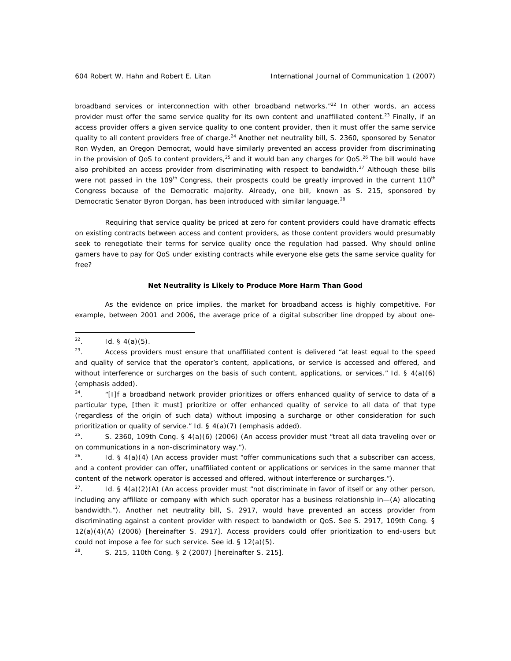broadband services or interconnection with other broadband networks."<sup>22</sup> In other words, an access provider must offer the same service quality for its own content and unaffiliated content.<sup>23</sup> Finally, if an access provider offers a given service quality to one content provider, then it must offer the same service quality to all content providers free of charge.<sup>24</sup> Another net neutrality bill, S. 2360, sponsored by Senator Ron Wyden, an Oregon Democrat, would have similarly prevented an access provider from discriminating in the provision of QoS to content providers,<sup>25</sup> and it would ban any charges for QoS.<sup>26</sup> The bill would have also prohibited an access provider from discriminating with respect to bandwidth.<sup>27</sup> Although these bills were not passed in the 109<sup>th</sup> Congress, their prospects could be greatly improved in the current 110<sup>th</sup> Congress because of the Democratic majority. Already, one bill, known as S. 215, sponsored by Democratic Senator Byron Dorgan, has been introduced with similar language.<sup>28</sup>

Requiring that service quality be priced at zero for content providers could have dramatic effects on existing contracts between access and content providers, as those content providers would presumably seek to renegotiate their terms for service quality once the regulation had passed. Why should online gamers have to pay for QoS under existing contracts while everyone else gets the same service quality for free?

#### **Net Neutrality is Likely to Produce More Harm Than Good**

As the evidence on price implies, the market for broadband access is highly competitive. For example, between 2001 and 2006, the average price of a digital subscriber line dropped by about one-

 $24.$  "[I]f a broadband network provider prioritizes or offers enhanced quality of service to data of a particular type, [then it must] prioritize or offer enhanced quality of service to all data of that type (regardless of the origin of such data) *without imposing a surcharge* or other consideration for such prioritization or quality of service." *Id*. § 4(a)(7) (emphasis added).

<sup>25</sup>. S. 2360, 109th Cong. § 4(a)(6) (2006) (An access provider must "treat all data traveling over or on communications in a non-discriminatory way.").

26. *Id*. § 4(a)(4) (An access provider must "offer communications such that a subscriber can access, and a content provider can offer, unaffiliated content or applications or services in the same manner that content of the network operator is accessed and offered, without interference or surcharges.").

<sup>27</sup>. *Id.* § 4(a)(2)(A) (An access provider must "not discriminate in favor of itself or any other person, including any affiliate or company with which such operator has a business relationship in—(A) allocating bandwidth."). Another net neutrality bill, S. 2917, would have prevented an access provider from discriminating against a content provider with respect to bandwidth or QoS. *See* S. 2917, 109th Cong. § 12(a)(4)(A) (2006) [hereinafter S. 2917]. Access providers could offer prioritization to end-users but could not impose a fee for such service. *See id*. § 12(a)(5).

28. S. 215, 110th Cong. § 2 (2007) [hereinafter S. 215].

 $22$ *Id.* § 4(a)(5).

 $23.$  Access providers must ensure that unaffiliated content is delivered "at least equal to the speed and quality of service that the *operator's* content, applications, or service is accessed and offered, and without interference or surcharges on the basis of such content, applications, or services." *Id*. § 4(a)(6) (emphasis added).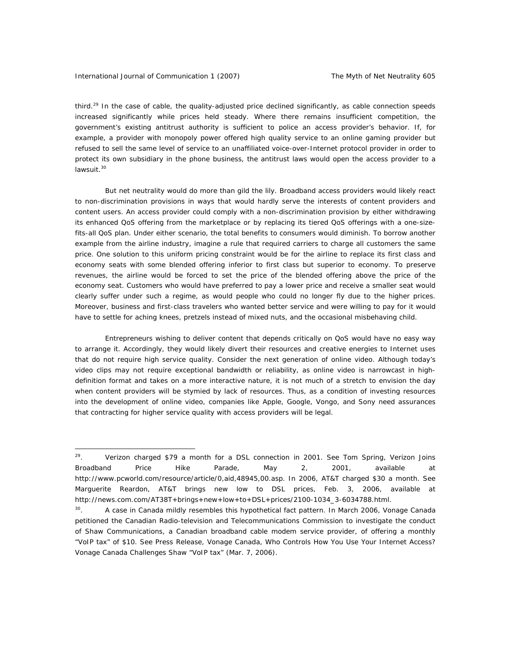third.<sup>29</sup> In the case of cable, the quality-adjusted price declined significantly, as cable connection speeds increased significantly while prices held steady. Where there remains insufficient competition, the government's existing antitrust authority is sufficient to police an access provider's behavior. If, for example, a provider with monopoly power offered high quality service to an online gaming provider but refused to sell the same level of service to an unaffiliated voice-over-Internet protocol provider in order to protect its own subsidiary in the phone business, the antitrust laws would open the access provider to a lawsuit.<sup>30</sup>

But net neutrality would do more than gild the lily. Broadband access providers would likely react to non-discrimination provisions in ways that would hardly serve the interests of content providers and content users. An access provider could comply with a non-discrimination provision by either withdrawing its enhanced QoS offering from the marketplace or by replacing its tiered QoS offerings with a one-sizefits-all QoS plan. Under either scenario, the total benefits to consumers would diminish. To borrow another example from the airline industry, imagine a rule that required carriers to charge all customers the same price. One solution to this uniform pricing constraint would be for the airline to replace its first class and economy seats with some blended offering inferior to first class but superior to economy. To preserve revenues, the airline would be forced to set the price of the blended offering above the price of the economy seat. Customers who would have preferred to pay a lower price and receive a smaller seat would clearly suffer under such a regime, as would people who could no longer fly due to the higher prices. Moreover, business and first-class travelers who wanted better service and were willing to pay for it would have to settle for aching knees, pretzels instead of mixed nuts, and the occasional misbehaving child.

Entrepreneurs wishing to deliver content that depends critically on QoS would have no easy way to arrange it. Accordingly, they would likely divert their resources and creative energies to Internet uses that do not require high service quality. Consider the next generation of online video. Although today's video clips may not require exceptional bandwidth or reliability, as online video is narrowcast in highdefinition format and takes on a more interactive nature, it is not much of a stretch to envision the day when content providers will be stymied by lack of resources. Thus, as a condition of investing resources into the development of online video, companies like Apple, Google, Vongo, and Sony need assurances that contracting for higher service quality with access providers will be legal.

<sup>29.</sup> Verizon charged \$79 a month for a DSL connection in 2001. *See* Tom Spring, *Verizon Joins Broadband Price Hike Parade*, May 2, 2001, *available at* http://www.pcworld.com/resource/article/0,aid,48945,00.asp. In 2006, AT&T charged \$30 a month. *See* Marguerite Reardon, *AT&T brings new low to DSL prices*, Feb. 3, 2006, *available at*  http://news.com.com/AT38T+brings+new+low+to+DSL+prices/2100-1034\_3-6034788.html.

<sup>&</sup>lt;sup>30</sup>. A case in Canada mildly resembles this hypothetical fact pattern. In March 2006, Vonage Canada petitioned the Canadian Radio-television and Telecommunications Commission to investigate the conduct of Shaw Communications, a Canadian broadband cable modem service provider, of offering a monthly "VoIP tax" of \$10. *See* Press Release, Vonage Canada, Who Controls How You Use Your Internet Access? Vonage Canada Challenges Shaw "VoIP tax" (Mar. 7, 2006).